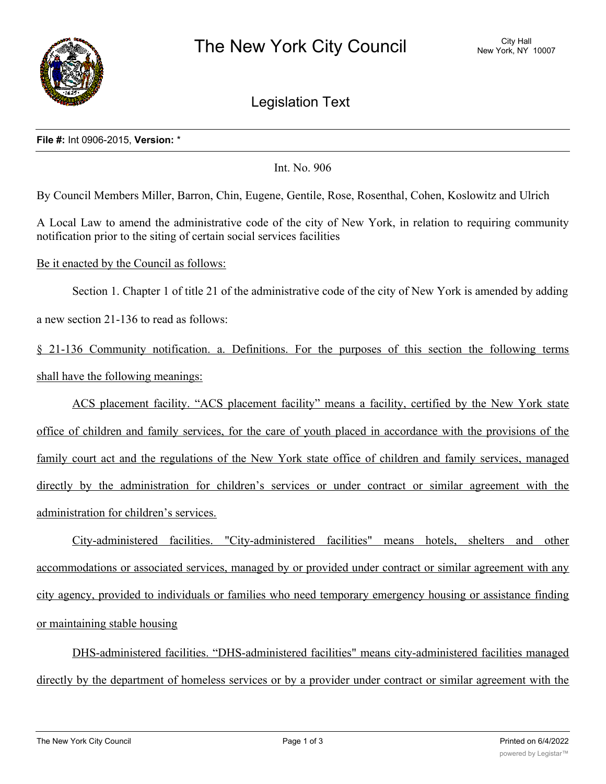

Legislation Text

## **File #:** Int 0906-2015, **Version:** \*

Int. No. 906

By Council Members Miller, Barron, Chin, Eugene, Gentile, Rose, Rosenthal, Cohen, Koslowitz and Ulrich

A Local Law to amend the administrative code of the city of New York, in relation to requiring community notification prior to the siting of certain social services facilities

Be it enacted by the Council as follows:

Section 1. Chapter 1 of title 21 of the administrative code of the city of New York is amended by adding a new section 21-136 to read as follows:

§ 21-136 Community notification. a. Definitions. For the purposes of this section the following terms shall have the following meanings:

ACS placement facility. "ACS placement facility" means a facility, certified by the New York state office of children and family services, for the care of youth placed in accordance with the provisions of the family court act and the regulations of the New York state office of children and family services, managed directly by the administration for children's services or under contract or similar agreement with the administration for children's services.

City-administered facilities. "City-administered facilities" means hotels, shelters and other accommodations or associated services, managed by or provided under contract or similar agreement with any city agency, provided to individuals or families who need temporary emergency housing or assistance finding or maintaining stable housing

DHS-administered facilities. "DHS-administered facilities" means city-administered facilities managed directly by the department of homeless services or by a provider under contract or similar agreement with the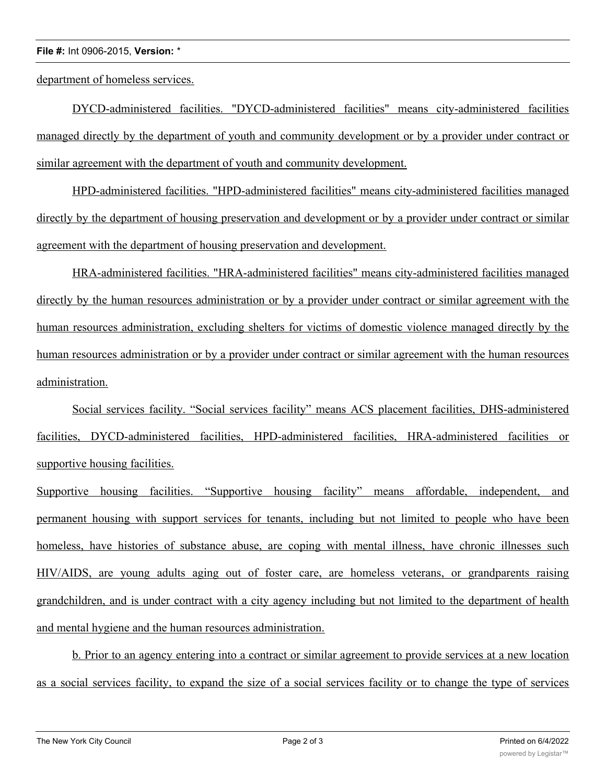## **File #:** Int 0906-2015, **Version:** \*

department of homeless services.

DYCD-administered facilities. "DYCD-administered facilities" means city-administered facilities managed directly by the department of youth and community development or by a provider under contract or similar agreement with the department of youth and community development.

HPD-administered facilities. "HPD-administered facilities" means city-administered facilities managed directly by the department of housing preservation and development or by a provider under contract or similar agreement with the department of housing preservation and development.

HRA-administered facilities. "HRA-administered facilities" means city-administered facilities managed directly by the human resources administration or by a provider under contract or similar agreement with the human resources administration, excluding shelters for victims of domestic violence managed directly by the human resources administration or by a provider under contract or similar agreement with the human resources administration.

Social services facility. "Social services facility" means ACS placement facilities, DHS-administered facilities, DYCD-administered facilities, HPD-administered facilities, HRA-administered facilities or supportive housing facilities.

Supportive housing facilities. "Supportive housing facility" means affordable, independent, and permanent housing with support services for tenants, including but not limited to people who have been homeless, have histories of substance abuse, are coping with mental illness, have chronic illnesses such HIV/AIDS, are young adults aging out of foster care, are homeless veterans, or grandparents raising grandchildren, and is under contract with a city agency including but not limited to the department of health and mental hygiene and the human resources administration.

b. Prior to an agency entering into a contract or similar agreement to provide services at a new location as a social services facility, to expand the size of a social services facility or to change the type of services